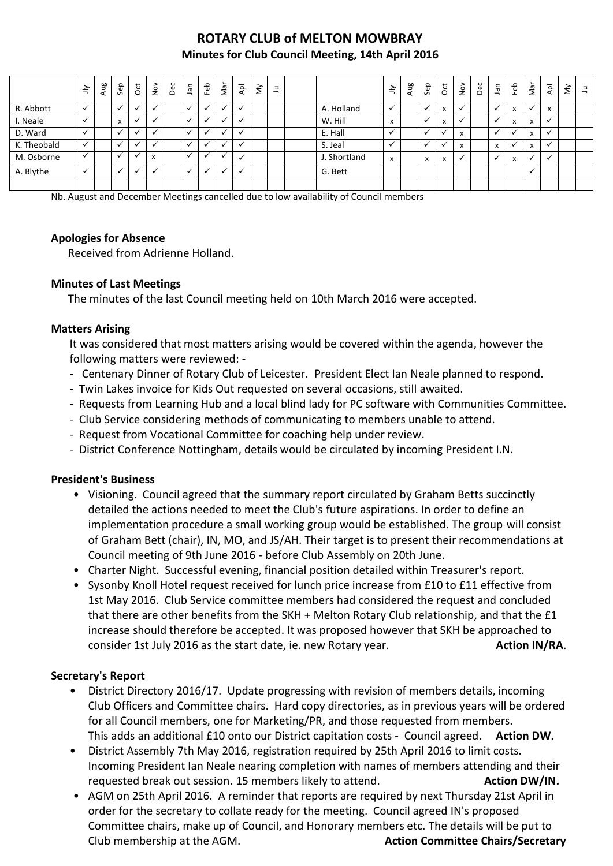# **ROTARY CLUB of MELTON MOWBRAY Minutes for Club Council Meeting, 14th April 2016**

|             | $\leq$ | Aug | Sep                       | $\overline{c}$ | $\sum_{i=1}^{n}$                         | Dec | ٩Ē | Feb | ∼<br>ξ | ٩pl                  | $\check{\varepsilon}$ | $\exists$ |              | $\tilde{=}$                  | Aug | Sep | $\overline{c}$           | $\stackrel{\textstyle\circ}{\textstyle\circ}$ | Dec | ٦ā                      | Feb | Nar                      | Ιđν                      | ξ | $\exists$ |
|-------------|--------|-----|---------------------------|----------------|------------------------------------------|-----|----|-----|--------|----------------------|-----------------------|-----------|--------------|------------------------------|-----|-----|--------------------------|-----------------------------------------------|-----|-------------------------|-----|--------------------------|--------------------------|---|-----------|
| R. Abbott   |        |     |                           |                |                                          |     |    |     |        |                      |                       |           | A. Holland   |                              |     |     | $\overline{\phantom{a}}$ |                                               |     |                         |     |                          | x                        |   |           |
| I. Neale    |        |     | $\boldsymbol{\mathsf{x}}$ | $\check{ }$    |                                          |     |    |     |        | $\ddot{\phantom{0}}$ |                       |           | W. Hill      | $\mathbf{v}$<br>$\mathbf{x}$ |     |     | $\overline{\phantom{a}}$ |                                               |     |                         | X   | $\mathsf{x}$             | $\checkmark$             |   |           |
| D. Ward     |        |     | $\overline{\phantom{a}}$  | $\cdot$        |                                          |     |    |     |        |                      |                       |           | E. Hall      |                              |     |     |                          | x                                             |     |                         |     | $\overline{ }$           | $\mathbf{v}$             |   |           |
| K. Theobald |        |     |                           |                |                                          |     |    |     |        |                      |                       |           | S. Jeal      |                              |     |     |                          | $\mathbf{v}$<br>$\mathbf{x}$                  |     | $\overline{\mathbf{r}}$ |     | $\lambda$                | $\ddot{\phantom{0}}$     |   |           |
| M. Osborne  | ✓      |     | $\overline{\phantom{a}}$  |                | $\overline{\phantom{a}}$<br>$\mathbf{v}$ |     |    |     |        |                      |                       |           | J. Shortland | x                            |     | x   | X                        | $\cdot$                                       |     |                         | X   | $\overline{\phantom{a}}$ | $\overline{\phantom{a}}$ |   |           |
| A. Blythe   |        |     |                           |                |                                          |     |    |     |        |                      |                       |           | G. Bett      |                              |     |     |                          |                                               |     |                         |     |                          |                          |   |           |
|             |        |     |                           |                |                                          |     |    |     |        |                      |                       |           |              |                              |     |     |                          |                                               |     |                         |     |                          |                          |   |           |

Nb. August and December Meetings cancelled due to low availability of Council members

#### **Apologies for Absence**

Received from Adrienne Holland.

#### **Minutes of Last Meetings**

The minutes of the last Council meeting held on 10th March 2016 were accepted.

#### **Matters Arising**

It was considered that most matters arising would be covered within the agenda, however the following matters were reviewed: -

- Centenary Dinner of Rotary Club of Leicester. President Elect Ian Neale planned to respond.
- Twin Lakes invoice for Kids Out requested on several occasions, still awaited.
- Requests from Learning Hub and a local blind lady for PC software with Communities Committee.
- Club Service considering methods of communicating to members unable to attend.
- Request from Vocational Committee for coaching help under review.
- District Conference Nottingham, details would be circulated by incoming President I.N.

#### **President's Business**

- Visioning. Council agreed that the summary report circulated by Graham Betts succinctly detailed the actions needed to meet the Club's future aspirations. In order to define an implementation procedure a small working group would be established. The group will consist of Graham Bett (chair), IN, MO, and JS/AH. Their target is to present their recommendations at Council meeting of 9th June 2016 - before Club Assembly on 20th June.
- Charter Night. Successful evening, financial position detailed within Treasurer's report.
- Sysonby Knoll Hotel request received for lunch price increase from £10 to £11 effective from 1st May 2016. Club Service committee members had considered the request and concluded that there are other benefits from the SKH + Melton Rotary Club relationship, and that the £1 increase should therefore be accepted. It was proposed however that SKH be approached to consider 1st July 2016 as the start date, ie. new Rotary year. **Action IN/RA. Action IN/RA.**

#### **Secretary's Report**

- District Directory 2016/17. Update progressing with revision of members details, incoming Club Officers and Committee chairs. Hard copy directories, as in previous years will be ordered for all Council members, one for Marketing/PR, and those requested from members. This adds an additional £10 onto our District capitation costs - Council agreed. **Action DW.**
- District Assembly 7th May 2016, registration required by 25th April 2016 to limit costs. Incoming President Ian Neale nearing completion with names of members attending and their requested break out session. 15 members likely to attend. **Action DW/IN.** Action DW/IN.
- AGM on 25th April 2016. A reminder that reports are required by next Thursday 21st April in order for the secretary to collate ready for the meeting. Council agreed IN's proposed Committee chairs, make up of Council, and Honorary members etc. The details will be put to Club membership at the AGM. **Action Committee Chairs/Secretary**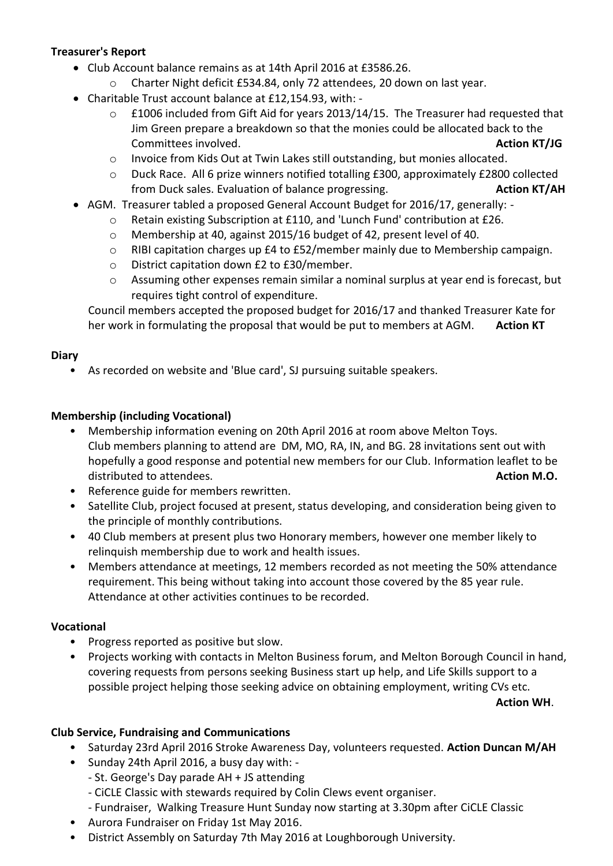## **Treasurer's Report**

- Club Account balance remains as at 14th April 2016 at £3586.26.
	- Charter Night deficit £534.84, only 72 attendees, 20 down on last year.
- Charitable Trust account balance at £12,154.93, with:
	- o £1006 included from Gift Aid for years 2013/14/15. The Treasurer had requested that Jim Green prepare a breakdown so that the monies could be allocated back to the **Committees involved. Action KT/JG Action KT/JG**
	- o Invoice from Kids Out at Twin Lakes still outstanding, but monies allocated.
	- o Duck Race. All 6 prize winners notified totalling £300, approximately £2800 collected from Duck sales. Evaluation of balance progressing. **Action KT/AH**
- AGM. Treasurer tabled a proposed General Account Budget for 2016/17, generally:
	- o Retain existing Subscription at £110, and 'Lunch Fund' contribution at £26.
	- o Membership at 40, against 2015/16 budget of 42, present level of 40.
	- o RIBI capitation charges up £4 to £52/member mainly due to Membership campaign.
	- o District capitation down £2 to £30/member.
	- o Assuming other expenses remain similar a nominal surplus at year end is forecast, but requires tight control of expenditure.

Council members accepted the proposed budget for 2016/17 and thanked Treasurer Kate for her work in formulating the proposal that would be put to members at AGM. Action KT

### **Diary**

• As recorded on website and 'Blue card', SJ pursuing suitable speakers.

### **Membership (including Vocational)**

- Membership information evening on 20th April 2016 at room above Melton Toys. Club members planning to attend are DM, MO, RA, IN, and BG. 28 invitations sent out with hopefully a good response and potential new members for our Club. Information leaflet to be distributed to attendees. **Action M.O. Action M.O. Action M.O. Action M.O. Action M.O.**
- Reference guide for members rewritten.
- Satellite Club, project focused at present, status developing, and consideration being given to the principle of monthly contributions.
- 40 Club members at present plus two Honorary members, however one member likely to relinquish membership due to work and health issues.
- Members attendance at meetings, 12 members recorded as not meeting the 50% attendance requirement. This being without taking into account those covered by the 85 year rule. Attendance at other activities continues to be recorded.

#### **Vocational**

- Progress reported as positive but slow.
- Projects working with contacts in Melton Business forum, and Melton Borough Council in hand, covering requests from persons seeking Business start up help, and Life Skills support to a possible project helping those seeking advice on obtaining employment, writing CVs etc.

**Action WH**.

#### **Club Service, Fundraising and Communications**

- Saturday 23rd April 2016 Stroke Awareness Day, volunteers requested. **Action Duncan M/AH**
- Sunday 24th April 2016, a busy day with:
	- St. George's Day parade AH + JS attending
	- CiCLE Classic with stewards required by Colin Clews event organiser.
	- Fundraiser, Walking Treasure Hunt Sunday now starting at 3.30pm after CiCLE Classic
- Aurora Fundraiser on Friday 1st May 2016.
- District Assembly on Saturday 7th May 2016 at Loughborough University.